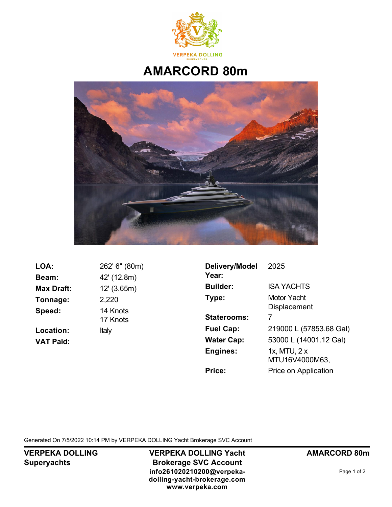

## **AMARCORD 80m**



**LOA:** 262' 6" (80m) **Beam:** 42' (12.8m) **Max Draft:** 12' (3.65m) **Tonnage:** 2,220 **Speed:** 14 Knots Location: Italy **VAT Paid:**

17 Knots

| Delivery/Model<br>Year: | 2025                               |  |  |
|-------------------------|------------------------------------|--|--|
| <b>Builder:</b>         | <b>ISA YACHTS</b>                  |  |  |
| Type:                   | Motor Yacht<br><b>Displacement</b> |  |  |
| <b>Staterooms:</b>      | 7                                  |  |  |
| <b>Fuel Cap:</b>        | 219000 L (57853.68 Gal)            |  |  |
| <b>Water Cap:</b>       | 53000 L (14001.12 Gal)             |  |  |
| Engines:                | 1x, MTU, 2 x<br>MTU16V4000M63,     |  |  |
| Price:                  | Price on Application               |  |  |
|                         |                                    |  |  |

Generated On 7/5/2022 10:14 PM by VERPEKA DOLLING Yacht Brokerage SVC Account

**VERPEKA DOLLING Superyachts**

**VERPEKA DOLLING Yacht Brokerage SVC Account info261020210200@verpekadolling-yacht-brokerage.com www.verpeka.com**

**AMARCORD 80m**